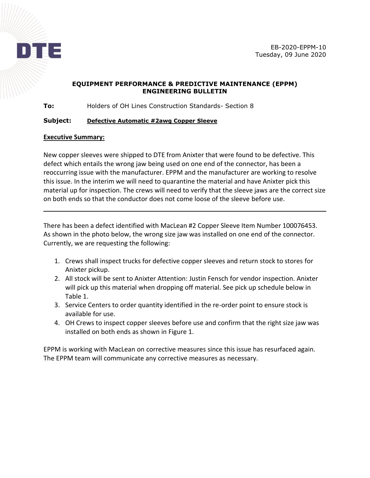

## **EQUIPMENT PERFORMANCE & PREDICTIVE MAINTENANCE (EPPM) ENGINEERING BULLETIN**

**To:** Holders of OH Lines Construction Standards- Section 8

## **Subject: Defective Automatic #2awg Copper Sleeve**

## **Executive Summary:**

New copper sleeves were shipped to DTE from Anixter that were found to be defective. This defect which entails the wrong jaw being used on one end of the connector, has been a reoccurring issue with the manufacturer. EPPM and the manufacturer are working to resolve this issue. In the interim we will need to quarantine the material and have Anixter pick this material up for inspection. The crews will need to verify that the sleeve jaws are the correct size on both ends so that the conductor does not come loose of the sleeve before use.

There has been a defect identified with MacLean #2 Copper Sleeve Item Number 100076453. As shown in the photo below, the wrong size jaw was installed on one end of the connector. Currently, we are requesting the following:

- 1. Crews shall inspect trucks for defective copper sleeves and return stock to stores for Anixter pickup.
- 2. All stock will be sent to Anixter Attention: Justin Fensch for vendor inspection. Anixter will pick up this material when dropping off material. See pick up schedule below in Table 1.
- 3. Service Centers to order quantity identified in the re-order point to ensure stock is available for use.
- 4. OH Crews to inspect copper sleeves before use and confirm that the right size jaw was installed on both ends as shown in Figure 1.

EPPM is working with MacLean on corrective measures since this issue has resurfaced again. The EPPM team will communicate any corrective measures as necessary.